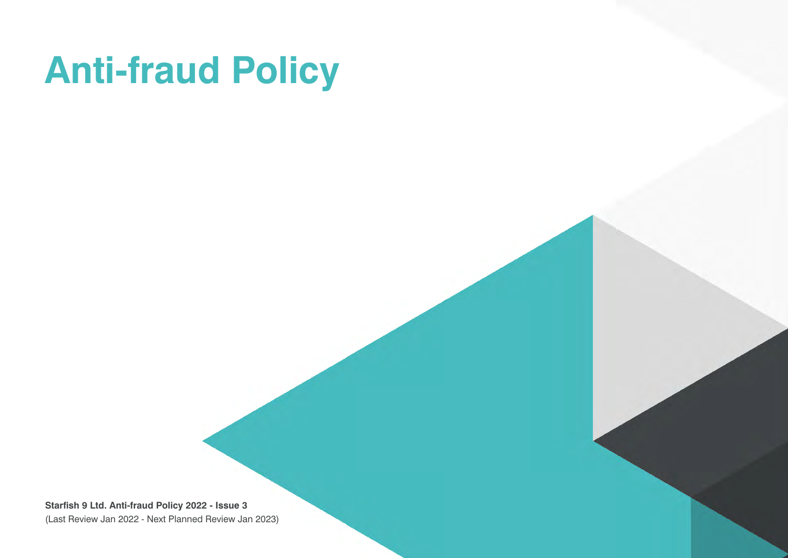# **Anti-fraud Policy**

**Starfish 9 Ltd. Anti-fraud Policy 2022 - Issue 3** (Last Review Jan 2022 - Next Planned Review Jan 2023)